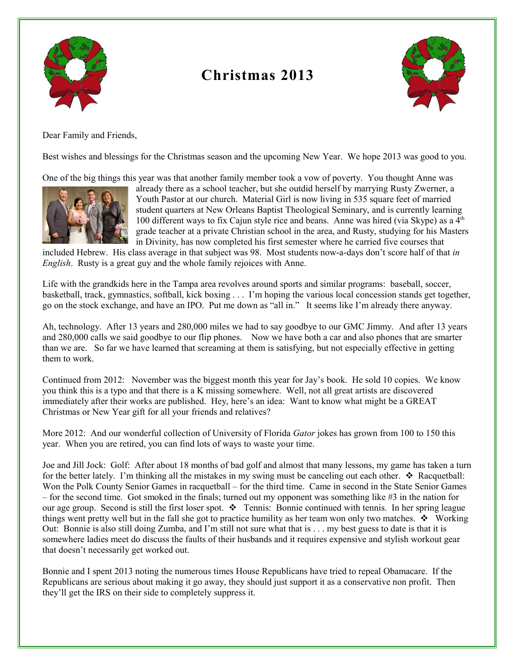

## **Christmas 2013**



Dear Family and Friends,

Best wishes and blessings for the Christmas season and the upcoming New Year. We hope 2013 was good to you.

One of the big things this year was that another family member took a vow of poverty. You thought Anne was



already there as a school teacher, but she outdid herself by marrying Rusty Zwerner, a Youth Pastor at our church. Material Girl is now living in 535 square feet of married student quarters at New Orleans Baptist Theological Seminary, and is currently learning 100 different ways to fix Cajun style rice and beans. Anne was hired (via Skype) as a  $4<sup>th</sup>$ grade teacher at a private Christian school in the area, and Rusty, studying for his Masters in Divinity, has now completed his first semester where he carried five courses that

included Hebrew. His class average in that subject was 98. Most students now-a-days don't score half of that *in English*. Rusty is a great guy and the whole family rejoices with Anne.

Life with the grandkids here in the Tampa area revolves around sports and similar programs: baseball, soccer, basketball, track, gymnastics, softball, kick boxing . . . I'm hoping the various local concession stands get together, go on the stock exchange, and have an IPO. Put me down as "all in." It seems like I'm already there anyway.

Ah, technology. After 13 years and 280,000 miles we had to say goodbye to our GMC Jimmy. And after 13 years and 280,000 calls we said goodbye to our flip phones. Now we have both a car and also phones that are smarter than we are. So far we have learned that screaming at them is satisfying, but not especially effective in getting them to work.

Continued from 2012: November was the biggest month this year for Jay's book. He sold 10 copies. We know you think this is a typo and that there is a K missing somewhere. Well, not all great artists are discovered immediately after their works are published. Hey, here's an idea: Want to know what might be a GREAT Christmas or New Year gift for all your friends and relatives?

More 2012: And our wonderful collection of University of Florida *Gator* jokes has grown from 100 to 150 this year. When you are retired, you can find lots of ways to waste your time.

Joe and Jill Jock: Golf: After about 18 months of bad golf and almost that many lessons, my game has taken a turn for the better lately. I'm thinking all the mistakes in my swing must be canceling out each other.  $\triangle$  Racquetball: Won the Polk County Senior Games in racquetball – for the third time. Came in second in the State Senior Games – for the second time. Got smoked in the finals; turned out my opponent was something like  $#3$  in the nation for our age group. Second is still the first loser spot.  $\bullet$  Tennis: Bonnie continued with tennis. In her spring league things went pretty well but in the fall she got to practice humility as her team won only two matches.  $\bullet$  Working Out: Bonnie is also still doing Zumba, and I'm still not sure what that is . . . my best guess to date is that it is somewhere ladies meet do discuss the faults of their husbands and it requires expensive and stylish workout gear that doesn't necessarily get worked out.

Bonnie and I spent 2013 noting the numerous times House Republicans have tried to repeal Obamacare. If the Republicans are serious about making it go away, they should just support it as a conservative non profit. Then they'll get the IRS on their side to completely suppress it.